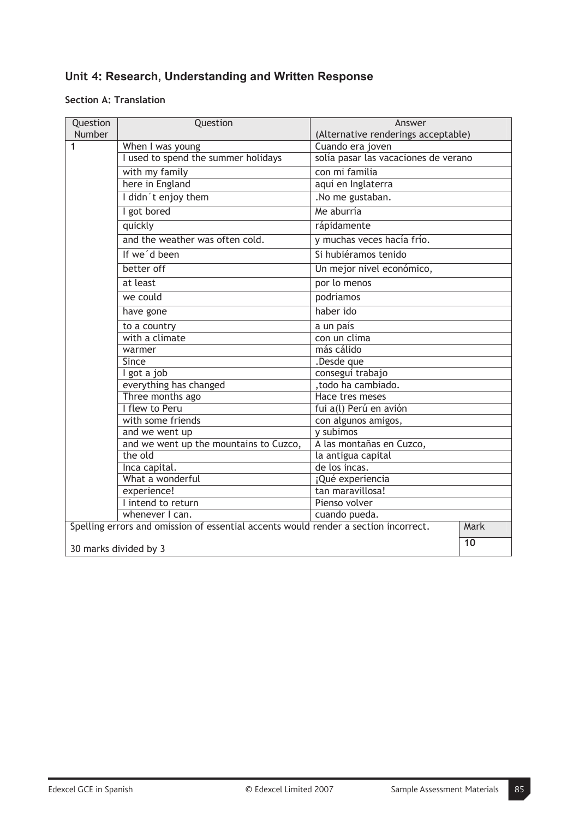# **Unit 4: Research, Understanding and Written Response**

### **Section A: Translation**

| Question | Question                                                                            | Answer                               |
|----------|-------------------------------------------------------------------------------------|--------------------------------------|
| Number   |                                                                                     | (Alternative renderings acceptable)  |
| 1        | When I was young                                                                    | Cuando era joven                     |
|          | I used to spend the summer holidays                                                 | solía pasar las vacaciones de verano |
|          | with my family                                                                      | con mi familia                       |
|          | here in England                                                                     | aquí en Inglaterra                   |
|          | I didn't enjoy them                                                                 | .No me gustaban.                     |
|          | I got bored                                                                         | Me aburría                           |
|          | quickly                                                                             | rápidamente                          |
|          | and the weather was often cold.                                                     | y muchas veces hacía frío.           |
|          | If we'd been                                                                        | Si hubiéramos tenido                 |
|          | better off                                                                          | Un mejor nivel económico,            |
|          | at least                                                                            | por lo menos                         |
|          | we could                                                                            | podríamos                            |
|          | have gone                                                                           | haber ido                            |
|          | to a country                                                                        | a un país                            |
|          | with a climate                                                                      | con un clima                         |
|          | warmer                                                                              | más cálido                           |
|          | Since                                                                               | .Desde que                           |
|          | I got a job                                                                         | conseguí trabajo                     |
|          | everything has changed                                                              | , todo ha cambiado.                  |
|          | Three months ago                                                                    | Hace tres meses                      |
|          | I flew to Peru                                                                      | fui a(l) Perú en avión               |
|          | with some friends                                                                   | con algunos amigos,                  |
|          | and we went up                                                                      | y subimos                            |
|          | and we went up the mountains to Cuzco,                                              | A las montañas en Cuzco,             |
|          | the old                                                                             | la antigua capital                   |
|          | Inca capital.                                                                       | de los incas.                        |
|          | What a wonderful                                                                    | ¡Qué experiencia                     |
|          | experience!                                                                         | tan maravillosa!                     |
|          | I intend to return                                                                  | Pienso volver                        |
|          | whenever I can.                                                                     | cuando pueda.                        |
|          | Spelling errors and omission of essential accents would render a section incorrect. | Mark                                 |
|          | 30 marks divided by 3                                                               | 10                                   |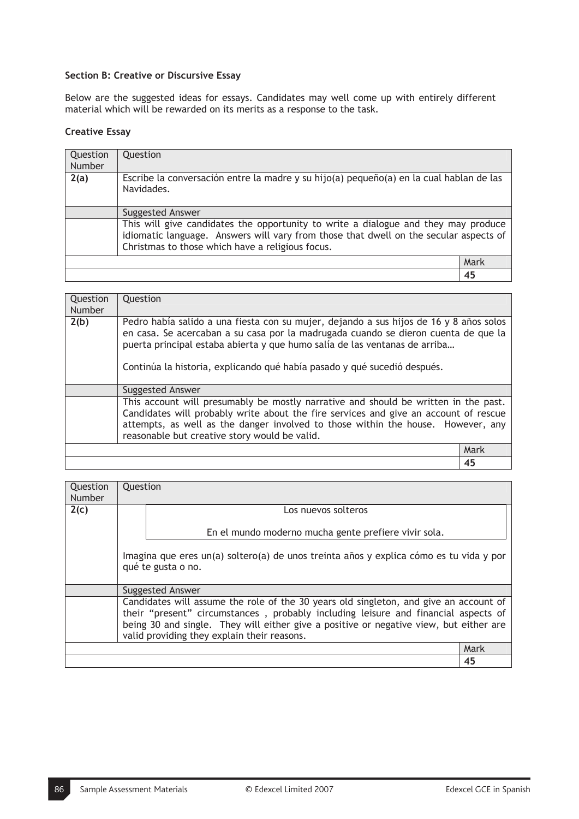#### **Section B: Creative or Discursive Essay**

Below are the suggested ideas for essays. Candidates may well come up with entirely different material which will be rewarded on its merits as a response to the task.

#### **Creative Essay**

| Question<br>Number | Question                                                                                                                                                                                                                        |      |
|--------------------|---------------------------------------------------------------------------------------------------------------------------------------------------------------------------------------------------------------------------------|------|
| 2(a)               | Escribe la conversación entre la madre y su hijo(a) pequeño(a) en la cual hablan de las<br>Navidades.                                                                                                                           |      |
|                    | <b>Suggested Answer</b>                                                                                                                                                                                                         |      |
|                    | This will give candidates the opportunity to write a dialogue and they may produce<br>idiomatic language. Answers will vary from those that dwell on the secular aspects of<br>Christmas to those which have a religious focus. |      |
|                    |                                                                                                                                                                                                                                 | Mark |
|                    |                                                                                                                                                                                                                                 | 45   |

| Question      | Question                                                                                                                                                                                                                                                                                                                               |      |
|---------------|----------------------------------------------------------------------------------------------------------------------------------------------------------------------------------------------------------------------------------------------------------------------------------------------------------------------------------------|------|
| <b>Number</b> |                                                                                                                                                                                                                                                                                                                                        |      |
| 2(b)          | Pedro había salido a una fiesta con su mujer, dejando a sus hijos de 16 y 8 años solos<br>en casa. Se acercaban a su casa por la madrugada cuando se dieron cuenta de que la<br>puerta principal estaba abierta y que humo salía de las ventanas de arriba<br>Continúa la historia, explicando qué había pasado y qué sucedió después. |      |
|               | Suggested Answer                                                                                                                                                                                                                                                                                                                       |      |
|               | This account will presumably be mostly narrative and should be written in the past.<br>Candidates will probably write about the fire services and give an account of rescue<br>attempts, as well as the danger involved to those within the house. However, any<br>reasonable but creative story would be valid.                       |      |
|               |                                                                                                                                                                                                                                                                                                                                        | Mark |
|               |                                                                                                                                                                                                                                                                                                                                        | 45   |

| Question | Question |                                                                                        |      |
|----------|----------|----------------------------------------------------------------------------------------|------|
| Number   |          |                                                                                        |      |
| 2(c)     |          | Los nuevos solteros                                                                    |      |
|          |          |                                                                                        |      |
|          |          | En el mundo moderno mucha gente prefiere vivir sola.                                   |      |
|          |          |                                                                                        |      |
|          |          | Imagina que eres un(a) soltero(a) de unos treinta años y explica cómo es tu vida y por |      |
|          |          | qué te gusta o no.                                                                     |      |
|          |          |                                                                                        |      |
|          |          | Suggested Answer                                                                       |      |
|          |          | Candidates will assume the role of the 30 years old singleton, and give an account of  |      |
|          |          | their "present" circumstances, probably including leisure and financial aspects of     |      |
|          |          | being 30 and single. They will either give a positive or negative view, but either are |      |
|          |          | valid providing they explain their reasons.                                            |      |
|          |          |                                                                                        | Mark |
|          |          |                                                                                        | 45   |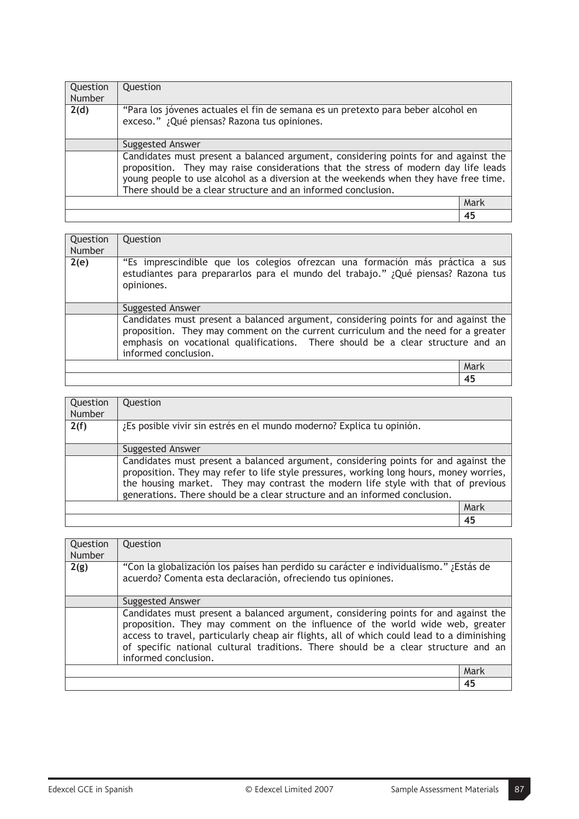| Question<br><b>Number</b> | Question                                                                                                                                                                                                                                                                                                                            |      |
|---------------------------|-------------------------------------------------------------------------------------------------------------------------------------------------------------------------------------------------------------------------------------------------------------------------------------------------------------------------------------|------|
| 2(d)                      | "Para los jóvenes actuales el fin de semana es un pretexto para beber alcohol en<br>exceso." ¿Qué piensas? Razona tus opiniones.                                                                                                                                                                                                    |      |
|                           | <b>Suggested Answer</b>                                                                                                                                                                                                                                                                                                             |      |
|                           | Candidates must present a balanced argument, considering points for and against the<br>proposition. They may raise considerations that the stress of modern day life leads<br>young people to use alcohol as a diversion at the weekends when they have free time.<br>There should be a clear structure and an informed conclusion. |      |
|                           |                                                                                                                                                                                                                                                                                                                                     | Mark |
|                           |                                                                                                                                                                                                                                                                                                                                     | 45   |

| Question<br>Number | Question                                                                                                                                                                                                                                                                             |      |
|--------------------|--------------------------------------------------------------------------------------------------------------------------------------------------------------------------------------------------------------------------------------------------------------------------------------|------|
| 2(e)               | "Es imprescindible que los colegios ofrezcan una formación más práctica a sus<br>estudiantes para prepararlos para el mundo del trabajo." ¿Qué piensas? Razona tus<br>opiniones.                                                                                                     |      |
|                    | Suggested Answer                                                                                                                                                                                                                                                                     |      |
|                    | Candidates must present a balanced argument, considering points for and against the<br>proposition. They may comment on the current curriculum and the need for a greater<br>emphasis on vocational qualifications. There should be a clear structure and an<br>informed conclusion. |      |
|                    |                                                                                                                                                                                                                                                                                      | Mark |
|                    |                                                                                                                                                                                                                                                                                      | 45   |

| Question<br>Number | Question                                                                                                                                                                                                                                                                                                                                          |      |
|--------------------|---------------------------------------------------------------------------------------------------------------------------------------------------------------------------------------------------------------------------------------------------------------------------------------------------------------------------------------------------|------|
| 2(f)               | ¿Es posible vivir sin estrés en el mundo moderno? Explica tu opinión.                                                                                                                                                                                                                                                                             |      |
|                    | <b>Suggested Answer</b>                                                                                                                                                                                                                                                                                                                           |      |
|                    | Candidates must present a balanced argument, considering points for and against the<br>proposition. They may refer to life style pressures, working long hours, money worries,<br>the housing market. They may contrast the modern life style with that of previous<br>generations. There should be a clear structure and an informed conclusion. |      |
|                    |                                                                                                                                                                                                                                                                                                                                                   | Mark |
|                    |                                                                                                                                                                                                                                                                                                                                                   | 45   |

| Question<br>Number | Question                                                                                                                                                                                                                                                                                                                                                                         |      |
|--------------------|----------------------------------------------------------------------------------------------------------------------------------------------------------------------------------------------------------------------------------------------------------------------------------------------------------------------------------------------------------------------------------|------|
| 2(g)               | "Con la globalización los países han perdido su carácter e individualismo." ¿Estás de<br>acuerdo? Comenta esta declaración, ofreciendo tus opiniones.                                                                                                                                                                                                                            |      |
|                    | Suggested Answer                                                                                                                                                                                                                                                                                                                                                                 |      |
|                    | Candidates must present a balanced argument, considering points for and against the<br>proposition. They may comment on the influence of the world wide web, greater<br>access to travel, particularly cheap air flights, all of which could lead to a diminishing<br>of specific national cultural traditions. There should be a clear structure and an<br>informed conclusion. |      |
|                    |                                                                                                                                                                                                                                                                                                                                                                                  | Mark |
|                    |                                                                                                                                                                                                                                                                                                                                                                                  | 45   |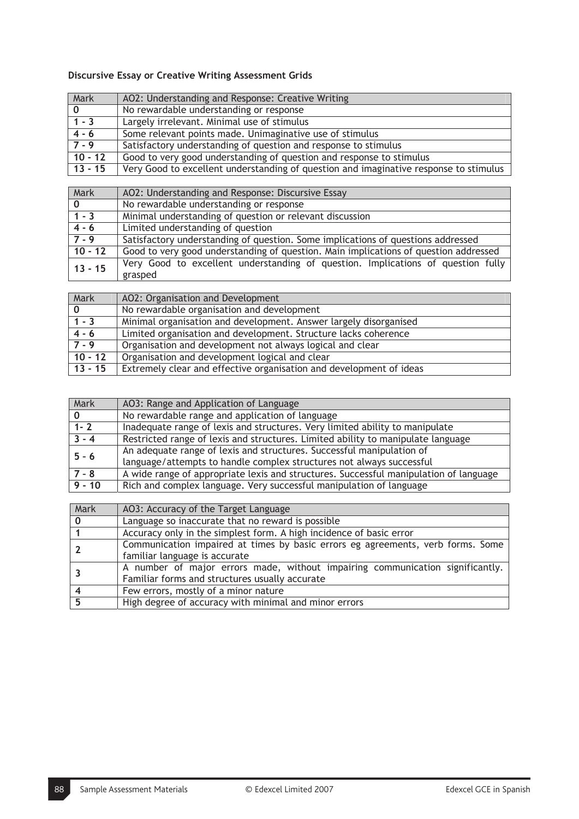## **Discursive Essay or Creative Writing Assessment Grids**

| Mark        | AO2: Understanding and Response: Creative Writing                                     |
|-------------|---------------------------------------------------------------------------------------|
| $\mathbf 0$ | No rewardable understanding or response                                               |
| $1 - 3$     | Largely irrelevant. Minimal use of stimulus                                           |
| $4 - 6$     | Some relevant points made. Unimaginative use of stimulus                              |
| $7 - 9$     | Satisfactory understanding of question and response to stimulus                       |
| $10 - 12$   | Good to very good understanding of question and response to stimulus                  |
| $13 - 15$   | Very Good to excellent understanding of question and imaginative response to stimulus |

| Mark         | AO2: Understanding and Response: Discursive Essay                                    |
|--------------|--------------------------------------------------------------------------------------|
| $\mathbf{0}$ | No rewardable understanding or response                                              |
| $1 - 3$      | Minimal understanding of question or relevant discussion                             |
| $4 - 6$      | Limited understanding of question                                                    |
| $7 - 9$      | Satisfactory understanding of question. Some implications of questions addressed     |
| $10 - 12$    | Good to very good understanding of question. Main implications of question addressed |
| $13 - 15$    | Very Good to excellent understanding of question. Implications of question fully     |
|              | grasped                                                                              |

| Mark         | AO2: Organisation and Development                                   |
|--------------|---------------------------------------------------------------------|
| $\mathbf{0}$ | No rewardable organisation and development                          |
| $1 - 3$      | Minimal organisation and development. Answer largely disorganised   |
| $4 - 6$      | Limited organisation and development. Structure lacks coherence     |
| $7 - 9$      | Organisation and development not always logical and clear           |
| $10 - 12$    | Organisation and development logical and clear                      |
| $13 - 15$    | Extremely clear and effective organisation and development of ideas |

| Mark     | AO3: Range and Application of Language                                                |
|----------|---------------------------------------------------------------------------------------|
|          | No rewardable range and application of language                                       |
| $1 - 2$  | Inadequate range of lexis and structures. Very limited ability to manipulate          |
| $3 - 4$  | Restricted range of lexis and structures. Limited ability to manipulate language      |
| $5 - 6$  | An adequate range of lexis and structures. Successful manipulation of                 |
|          | language/attempts to handle complex structures not always successful                  |
| $7 - 8$  | A wide range of appropriate lexis and structures. Successful manipulation of language |
| $9 - 10$ | Rich and complex language. Very successful manipulation of language                   |

| Mark | AO3: Accuracy of the Target Language                                            |
|------|---------------------------------------------------------------------------------|
|      | Language so inaccurate that no reward is possible                               |
|      | Accuracy only in the simplest form. A high incidence of basic error             |
|      | Communication impaired at times by basic errors eg agreements, verb forms. Some |
|      | familiar language is accurate                                                   |
|      | A number of major errors made, without impairing communication significantly.   |
|      | Familiar forms and structures usually accurate                                  |
|      | Few errors, mostly of a minor nature                                            |
| 5    | High degree of accuracy with minimal and minor errors                           |